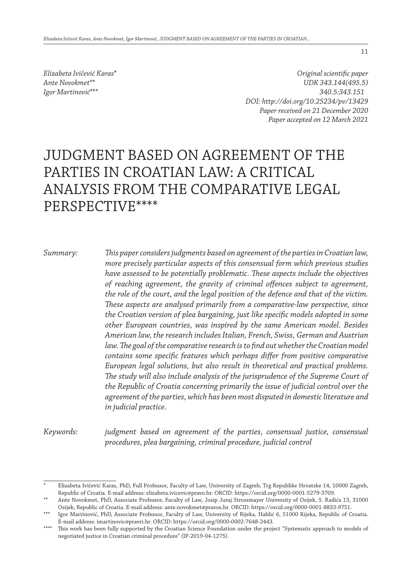*Elizabeta Ivičević Karas*\* *Ante Novokmet*\*\* *Igor Martinović*\*\*\*

*Original scientific paper UDK 343.144(495.5) 340.5:343.151 DOI: http://doi.org/10.25234/pv/13429 Paper received on 21 December 2020 Paper accepted on 12 March 2021*

# JUDGMENT BASED ON AGREEMENT OF THE PARTIES IN CROATIAN LAW: A CRITICAL ANALYSIS FROM THE COMPARATIVE LEGAL PERSPECTIVE\*\*\*\*

*Summary: This paper considers judgments based on agreement of the parties in Croatian law, more precisely particular aspects of this consensual form which previous studies have assessed to be potentially problematic. These aspects include the objectives of reaching agreement, the gravity of criminal offences subject to agreement, the role of the court, and the legal position of the defence and that of the victim. These aspects are analysed primarily from a comparative-law perspective, since the Croatian version of plea bargaining, just like specific models adopted in some other European countries, was inspired by the same American model. Besides American law, the research includes Italian, French, Swiss, German and Austrian law. The goal of the comparative research is to find out whether the Croatian model contains some specific features which perhaps differ from positive comparative European legal solutions, but also result in theoretical and practical problems. The study will also include analysis of the jurisprudence of the Supreme Court of the Republic of Croatia concerning primarily the issue of judicial control over the agreement of the parties, which has been most disputed in domestic literature and in judicial practice.*

*Keywords: judgment based on agreement of the parties, consensual justice, consensual procedures, plea bargaining, criminal procedure, judicial control*

<sup>\*</sup> Elizabeta Ivičević Karas, PhD, Full Professor, Faculty of Law, University of Zagreb, Trg Republike Hrvatske 14, 10000 Zagreb, Republic of Croatia. E-mail address: elizabeta.ivicevic@pravo.hr. ORCID: https://orcid.org/0000-0001-5279-3709.

<sup>\*\*</sup> Ante Novokmet, PhD, Associate Professor, Faculty of Law, Josip Juraj Strossmayer University of Osijek, S. Radića 13, 31000 Osijek, Republic of Croatia. E-mail address: ante.novokmet@pravos.hr. ORCID: https://orcid.org/0000-0001-8833-9751.

<sup>\*\*\*</sup> Igor Martinović, PhD, Associate Professor, Faculty of Law, University of Rijeka, Hahlić 6, 51000 Rijeka, Republic of Croatia. E-mail address: imartinovic@pravri.hr. ORCID: https://orcid.org/0000-0002-7648-2443.

<sup>\*\*\*\*</sup> This work has been fully supported by the Croatian Science Foundation under the project "Systematic approach to models of negotiated justice in Croatian criminal procedure" (IP-2019-04-1275).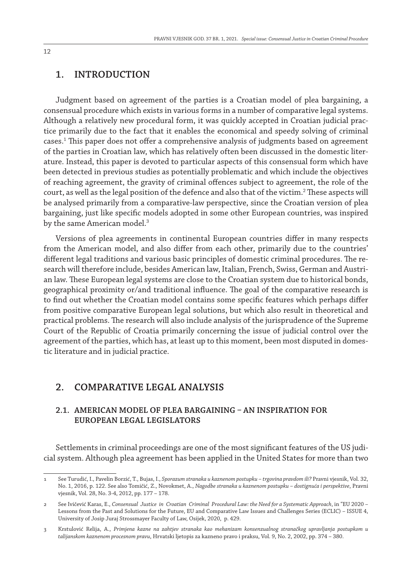## **1. INTRODUCTION**

Judgment based on agreement of the parties is a Croatian model of plea bargaining, a consensual procedure which exists in various forms in a number of comparative legal systems. Although a relatively new procedural form, it was quickly accepted in Croatian judicial practice primarily due to the fact that it enables the economical and speedy solving of criminal cases.1 This paper does not offer a comprehensive analysis of judgments based on agreement of the parties in Croatian law, which has relatively often been discussed in the domestic literature. Instead, this paper is devoted to particular aspects of this consensual form which have been detected in previous studies as potentially problematic and which include the objectives of reaching agreement, the gravity of criminal offences subject to agreement, the role of the court, as well as the legal position of the defence and also that of the victim. $^2$  These aspects will be analysed primarily from a comparative-law perspective, since the Croatian version of plea bargaining, just like specific models adopted in some other European countries, was inspired by the same American model.<sup>3</sup>

Versions of plea agreements in continental European countries differ in many respects from the American model, and also differ from each other, primarily due to the countries' different legal traditions and various basic principles of domestic criminal procedures. The research will therefore include, besides American law, Italian, French, Swiss, German and Austrian law. These European legal systems are close to the Croatian system due to historical bonds, geographical proximity or/and traditional influence. The goal of the comparative research is to find out whether the Croatian model contains some specific features which perhaps differ from positive comparative European legal solutions, but which also result in theoretical and practical problems. The research will also include analysis of the jurisprudence of the Supreme Court of the Republic of Croatia primarily concerning the issue of judicial control over the agreement of the parties, which has, at least up to this moment, been most disputed in domestic literature and in judicial practice.

# **2. COMPARATIVE LEGAL ANALYSIS**

# **2.1. American model of plea bargaining – an inspiration for European legal legislators**

Settlements in criminal proceedings are one of the most significant features of the US judicial system. Although plea agreement has been applied in the United States for more than two

<sup>1</sup> See Turudić, I., Pavelin Borzić, T., Bujas, I., *Sporazum stranaka u kaznenom postupku – trgovina pravdom ili?* Pravni vjesnik, Vol. 32, No. 1, 2016, p. 122. See also Tomičić, Z., Novokmet, A., *Nagodbe stranaka u kaznenom postupku – dostignuća i perspektive*, Pravni vjesnik, Vol. 28, No. 3-4, 2012, pp. 177 – 178.

<sup>2</sup> See Ivičević Karas, E., *Consensual Justice in Croatian Criminal Procedural Law: the Need for a Systematic Approach*, in "EU 2020 – Lessons from the Past and Solutions for the Future, EU and Comparative Law Issues and Challenges Series (ECLIC) – ISSUE 4, University of Josip Juraj Strossmayer Faculty of Law, Osijek, 2020, p. 429.

<sup>3</sup> Krstulović Relija, A., *Primjena kazne na zahtjev stranaka kao mehanizam konsenzualnog stranačkog upravljanja postupkom u talijanskom kaznenom procesnom pravu*, Hrvatski ljetopis za kazneno pravo i praksu, Vol. 9, No. 2, 2002, pp. 374 – 380.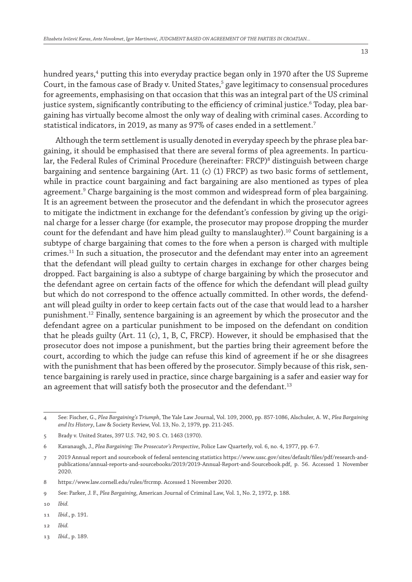hundred years,<sup>4</sup> putting this into everyday practice began only in 1970 after the US Supreme Court, in the famous case of Brady v. United States, $^5$  gave legitimacy to consensual procedures for agreements, emphasising on that occasion that this was an integral part of the US criminal justice system, significantly contributing to the efficiency of criminal justice. $^{\rm 6}$  Today, plea bargaining has virtually become almost the only way of dealing with criminal cases. According to statistical indicators, in 2019, as many as 97% of cases ended in a settlement.<sup>7</sup>

Although the term settlement is usually denoted in everyday speech by the phrase plea bargaining, it should be emphasised that there are several forms of plea agreements. In particular, the Federal Rules of Criminal Procedure (hereinafter: FRCP)<sup>8</sup> distinguish between charge bargaining and sentence bargaining (Art. 11 (c) (1) FRCP) as two basic forms of settlement, while in practice count bargaining and fact bargaining are also mentioned as types of plea agreement.<sup>9</sup> Charge bargaining is the most common and widespread form of plea bargaining. It is an agreement between the prosecutor and the defendant in which the prosecutor agrees to mitigate the indictment in exchange for the defendant's confession by giving up the original charge for a lesser charge (for example, the prosecutor may propose dropping the murder count for the defendant and have him plead guilty to manslaughter).<sup>10</sup> Count bargaining is a subtype of charge bargaining that comes to the fore when a person is charged with multiple crimes.11 In such a situation, the prosecutor and the defendant may enter into an agreement that the defendant will plead guilty to certain charges in exchange for other charges being dropped. Fact bargaining is also a subtype of charge bargaining by which the prosecutor and the defendant agree on certain facts of the offence for which the defendant will plead guilty but which do not correspond to the offence actually committed. In other words, the defendant will plead guilty in order to keep certain facts out of the case that would lead to a harsher punishment.12 Finally, sentence bargaining is an agreement by which the prosecutor and the defendant agree on a particular punishment to be imposed on the defendant on condition that he pleads guilty (Art. 11 (c), 1, B, C, FRCP). However, it should be emphasised that the prosecutor does not impose a punishment, but the parties bring their agreement before the court, according to which the judge can refuse this kind of agreement if he or she disagrees with the punishment that has been offered by the prosecutor. Simply because of this risk, sentence bargaining is rarely used in practice, since charge bargaining is a safer and easier way for an agreement that will satisfy both the prosecutor and the defendant.<sup>13</sup>

- 12 *Ibid.*
- 13 *Ibid.,* p. 189.

<sup>4</sup> See: Fischer, G., *Plea Bargaining's Triumph*, The Yale Law Journal, Vol. 109, 2000, pp. 857-1086, Alschuler, A. W., *Plea Bargaining and Its History*, Law & Society Review, Vol. 13, No. 2, 1979, pp. 211-245.

<sup>5</sup> Brady v. United States, 397 U.S. 742, 90 S. Ct. 1463 (1970).

<sup>6</sup> Kavanaugh, J., *Plea Bargaining: The Prosecutor's Perspective*, Police Law Quarterly, vol. 6, no. 4, 1977, pp. 6-7.

<sup>7</sup> 2019 Annual report and sourcebook of federal sentencing statistics https://www.ussc.gov/sites/default/files/pdf/research-andpublications/annual-reports-and-sourcebooks/2019/2019-Annual-Report-and-Sourcebook.pdf, p. 56. Accessed 1 November 2020.

<sup>8</sup> https://www.law.cornell.edu/rules/frcrmp. Accessed 1 November 2020.

<sup>9</sup> See: Parker, J. F., *Plea Bargaining*, American Journal of Criminal Law, Vol. 1, No. 2, 1972, p. 188.

<sup>10</sup> *Ibid.*

<sup>11</sup> *Ibid*., p. 191.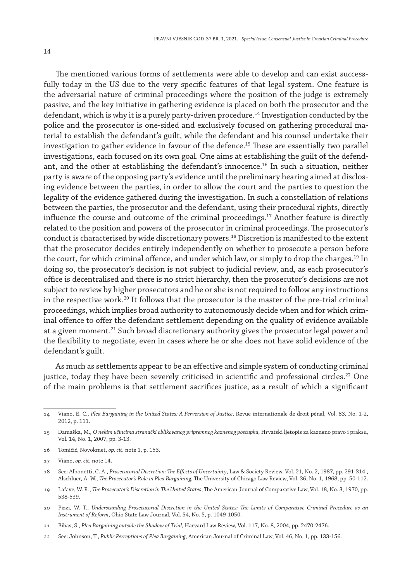The mentioned various forms of settlements were able to develop and can exist successfully today in the US due to the very specific features of that legal system. One feature is the adversarial nature of criminal proceedings where the position of the judge is extremely passive, and the key initiative in gathering evidence is placed on both the prosecutor and the defendant, which is why it is a purely party-driven procedure.14 Investigation conducted by the police and the prosecutor is one-sided and exclusively focused on gathering procedural material to establish the defendant's guilt, while the defendant and his counsel undertake their investigation to gather evidence in favour of the defence.15 These are essentially two parallel investigations, each focused on its own goal. One aims at establishing the guilt of the defendant, and the other at establishing the defendant's innocence.16 In such a situation, neither party is aware of the opposing party's evidence until the preliminary hearing aimed at disclosing evidence between the parties, in order to allow the court and the parties to question the legality of the evidence gathered during the investigation. In such a constellation of relations between the parties, the prosecutor and the defendant, using their procedural rights, directly influence the course and outcome of the criminal proceedings.17 Another feature is directly related to the position and powers of the prosecutor in criminal proceedings. The prosecutor's conduct is characterised by wide discretionary powers.18 Discretion is manifested to the extent that the prosecutor decides entirely independently on whether to prosecute a person before the court, for which criminal offence, and under which law, or simply to drop the charges.<sup>19</sup> In doing so, the prosecutor's decision is not subject to judicial review, and, as each prosecutor's office is decentralised and there is no strict hierarchy, then the prosecutor's decisions are not subject to review by higher prosecutors and he or she is not required to follow any instructions in the respective work.<sup>20</sup> It follows that the prosecutor is the master of the pre-trial criminal proceedings, which implies broad authority to autonomously decide when and for which criminal offence to offer the defendant settlement depending on the quality of evidence available at a given moment.<sup>21</sup> Such broad discretionary authority gives the prosecutor legal power and the flexibility to negotiate, even in cases where he or she does not have solid evidence of the defendant's guilt.

As much as settlements appear to be an effective and simple system of conducting criminal justice, today they have been severely criticised in scientific and professional circles.<sup>22</sup> One of the main problems is that settlement sacrifices justice, as a result of which a significant

<sup>14</sup> Viano, E. C., *Plea Bargaining in the United States: A Perversion of Justice*, Revue internationale de droit pénal, Vol. 83, No. 1-2, 2012, p. 111.

<sup>15</sup> Damaška, M., *O nekim učincima stranački oblikovanog pripremnog kaznenog postupka*, Hrvatski ljetopis za kazneno pravo i praksu, Vol. 14, No. 1, 2007, pp. 3-13.

<sup>16</sup> Tomičić, Novokmet, *op. cit.* note 1, p. 153.

<sup>17</sup> Viano, *op. cit.* note 14.

<sup>18</sup> See: Albonetti, C. A., *Prosecutorial Discretion: The Effects of Uncertainty*, Law & Society Review, Vol. 21, No. 2, 1987, pp. 291-314., Alschluer, A. W., *The Prosecutor's Role in Plea Bargaining*, The University of Chicago Law Review, Vol. 36, No. 1, 1968, pp. 50-112.

<sup>19</sup> Lafave, W. R., *The Prosecutor's Discretion in The United States*, The American Journal of Comparative Law, Vol. 18, No. 3, 1970, pp. 538-539.

<sup>20</sup> Pizzi, W. T., *Understanding Prosecutorial Discretion in the United States: The Limits of Comparative Criminal Procedure as an Instrument of Reform*, Ohio State Law Journal, Vol. 54, No. 5, p. 1049-1050.

<sup>21</sup> Bibas, S., *Plea Bargaining outside the Shadow of Trial*, Harvard Law Review, Vol. 117, No. 8, 2004, pp. 2470-2476.

<sup>22</sup> See: Johnson, T., *Public Perceptions of Plea Bargaining*, American Journal of Criminal Law, Vol. 46, No. 1, pp. 133-156.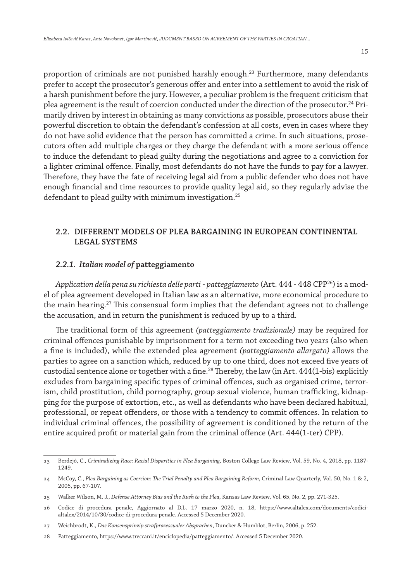proportion of criminals are not punished harshly enough.<sup>23</sup> Furthermore, many defendants prefer to accept the prosecutor's generous offer and enter into a settlement to avoid the risk of a harsh punishment before the jury. However, a peculiar problem is the frequent criticism that plea agreement is the result of coercion conducted under the direction of the prosecutor.<sup>24</sup> Primarily driven by interest in obtaining as many convictions as possible, prosecutors abuse their powerful discretion to obtain the defendant's confession at all costs, even in cases where they do not have solid evidence that the person has committed a crime. In such situations, prosecutors often add multiple charges or they charge the defendant with a more serious offence to induce the defendant to plead guilty during the negotiations and agree to a conviction for a lighter criminal offence. Finally, most defendants do not have the funds to pay for a lawyer. Therefore, they have the fate of receiving legal aid from a public defender who does not have enough financial and time resources to provide quality legal aid, so they regularly advise the defendant to plead guilty with minimum investigation.<sup>25</sup>

# **2.2. Different models of plea bargaining in European continental legal systems**

## *2.2.1. Italian model of* **patteggiamento**

*Application della pena su richiesta delle parti* - *patteggiamento* (Art. 444 - 448 CPP26) is a model of plea agreement developed in Italian law as an alternative, more economical procedure to the main hearing.<sup>27</sup> This consensual form implies that the defendant agrees not to challenge the accusation, and in return the punishment is reduced by up to a third.

The traditional form of this agreement *(patteggiamento tradizionale)* may be required for criminal offences punishable by imprisonment for a term not exceeding two years (also when a fine is included), while the extended plea agreement *(patteggiamento allargato)* allows the parties to agree on a sanction which, reduced by up to one third, does not exceed five years of custodial sentence alone or together with a fine.<sup>28</sup> Thereby, the law (in Art. 444(1-bis) explicitly excludes from bargaining specific types of criminal offences, such as organised crime, terrorism, child prostitution, child pornography, group sexual violence, human trafficking, kidnapping for the purpose of extortion, etc., as well as defendants who have been declared habitual, professional, or repeat offenders, or those with a tendency to commit offences. In relation to individual criminal offences, the possibility of agreement is conditioned by the return of the entire acquired profit or material gain from the criminal offence (Art. 444(1-ter) CPP).

<sup>23</sup> Berdejó, C., *Criminalizing Race: Racial Disparities in Plea Bargaining*, Boston College Law Review, Vol. 59, No. 4, 2018, pp. 1187- 1249.

<sup>24</sup> McCoy, C., *Plea Bargaining as Coercion: The Trial Penalty and Plea Bargaining Reform*, Criminal Law Quarterly, Vol. 50, No. 1 & 2, 2005, pp. 67-107.

<sup>25</sup> Walker Wilson, M. J., *Defense Attorney Bias and the Rush to the Plea*, Kansas Law Review, Vol. 65, No. 2, pp. 271-325.

<sup>26</sup> Codice di procedura penale, Aggiornato al D.L. 17 marzo 2020, n. 18, https://www.altalex.com/documents/codicialtalex/2014/10/30/codice-di-procedura-penale. Accessed 5 December 2020.

<sup>27</sup> Weichbrodt, K., *Das Konsensprinzip strafprozessualer Absprachen*, Duncker & Humblot, Berlin, 2006, p. 252.

<sup>28</sup> Patteggiamento, https://www.treccani.it/enciclopedia/patteggiamento/. Accessed 5 December 2020.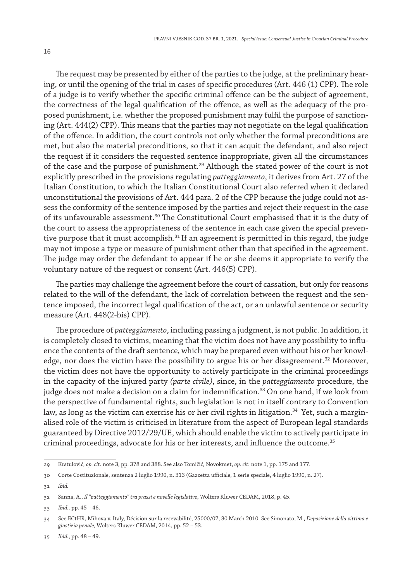The request may be presented by either of the parties to the judge, at the preliminary hearing, or until the opening of the trial in cases of specific procedures (Art. 446 (1) CPP). The role of a judge is to verify whether the specific criminal offence can be the subject of agreement, the correctness of the legal qualification of the offence, as well as the adequacy of the proposed punishment, i.e. whether the proposed punishment may fulfil the purpose of sanctioning (Art. 444(2) CPP). This means that the parties may not negotiate on the legal qualification of the offence. In addition, the court controls not only whether the formal preconditions are met, but also the material preconditions, so that it can acquit the defendant, and also reject the request if it considers the requested sentence inappropriate, given all the circumstances of the case and the purpose of punishment.<sup>29</sup> Although the stated power of the court is not explicitly prescribed in the provisions regulating *patteggiamento*, it derives from Art. 27 of the Italian Constitution, to which the Italian Constitutional Court also referred when it declared unconstitutional the provisions of Art. 444 para. 2 of the CPP because the judge could not assess the conformity of the sentence imposed by the parties and reject their request in the case of its unfavourable assessment.<sup>30</sup> The Constitutional Court emphasised that it is the duty of the court to assess the appropriateness of the sentence in each case given the special preventive purpose that it must accomplish. $31$  If an agreement is permitted in this regard, the judge may not impose a type or measure of punishment other than that specified in the agreement. The judge may order the defendant to appear if he or she deems it appropriate to verify the voluntary nature of the request or consent (Art. 446(5) CPP).

The parties may challenge the agreement before the court of cassation, but only for reasons related to the will of the defendant, the lack of correlation between the request and the sentence imposed, the incorrect legal qualification of the act, or an unlawful sentence or security measure (Art. 448(2-bis) CPP).

The procedure of *patteggiamento*, including passing a judgment, is not public. In addition, it is completely closed to victims, meaning that the victim does not have any possibility to influence the contents of the draft sentence, which may be prepared even without his or her knowledge, nor does the victim have the possibility to argue his or her disagreement.<sup>32</sup> Moreover, the victim does not have the opportunity to actively participate in the criminal proceedings in the capacity of the injured party *(parte civile)*, since, in the *patteggiamento* procedure, the judge does not make a decision on a claim for indemnification.<sup>33</sup> On one hand, if we look from the perspective of fundamental rights, such legislation is not in itself contrary to Convention law, as long as the victim can exercise his or her civil rights in litigation.<sup>34</sup> Yet, such a marginalised role of the victim is criticised in literature from the aspect of European legal standards guaranteed by Directive 2012/29/UE, which should enable the victim to actively participate in criminal proceedings, advocate for his or her interests, and influence the outcome.<sup>35</sup>

35 *Ibid.*, pp. 48 – 49.

<sup>29</sup> Krstulović, *op. cit.* note 3, pp. 378 and 388. See also Tomičić, Novokmet, *op. cit.* note 1, pp. 175 and 177.

<sup>30</sup> Corte Costituzionale, sentenza 2 luglio 1990, n. 313 (Gazzetta ufficiale, 1 serie speciale, 4 luglio 1990, n. 27).

<sup>31</sup> *Ibid.*

<sup>32</sup> Sanna, A., *Il "patteggiamento" tra prassi e novelle legislative*, Wolters Kluwer CEDAM, 2018, p. 45.

<sup>33</sup> *Ibid.,* pp. 45 – 46.

<sup>34</sup> See ECtHR, Mihova v. Italy, Décision sur la recevabilité, 25000/07, 30 March 2010. See Simonato, M., *Deposizione della vittima e giustizia penale,* Wolters Kluwer CEDAM, 2014, pp. 52 – 53.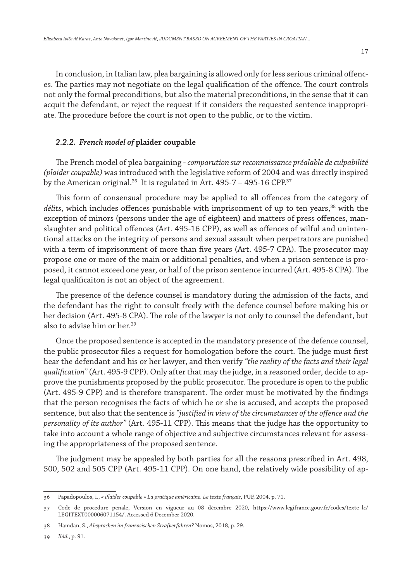17

In conclusion, in Italian law, plea bargaining is allowed only for less serious criminal offences. The parties may not negotiate on the legal qualification of the offence. The court controls not only the formal preconditions, but also the material preconditions, in the sense that it can acquit the defendant, or reject the request if it considers the requested sentence inappropriate. The procedure before the court is not open to the public, or to the victim.

# *2.2.2. French model of* **plaider coupable**

The French model of plea bargaining - *comparution sur reconnaissance préalable de culpabilité (plaider coupable)* was introduced with the legislative reform of 2004 and was directly inspired by the American original.<sup>36</sup> It is regulated in Art.  $495-7 - 495-16$  CPP.<sup>37</sup>

This form of consensual procedure may be applied to all offences from the category of *délits*, which includes offences punishable with imprisonment of up to ten years,<sup>38</sup> with the exception of minors (persons under the age of eighteen) and matters of press offences, manslaughter and political offences (Art. 495-16 CPP), as well as offences of wilful and unintentional attacks on the integrity of persons and sexual assault when perpetrators are punished with a term of imprisonment of more than five years (Art. 495-7 CPA). The prosecutor may propose one or more of the main or additional penalties, and when a prison sentence is proposed, it cannot exceed one year, or half of the prison sentence incurred (Art. 495-8 CPA). The legal qualificaiton is not an object of the agreement.

The presence of the defence counsel is mandatory during the admission of the facts, and the defendant has the right to consult freely with the defence counsel before making his or her decision (Art. 495-8 CPA). The role of the lawyer is not only to counsel the defendant, but also to advise him or her.<sup>39</sup>

Once the proposed sentence is accepted in the mandatory presence of the defence counsel, the public prosecutor files a request for homologation before the court. The judge must first hear the defendant and his or her lawyer, and then verify *"the reality of the facts and their legal qualification"* (Art. 495-9 CPP). Only after that may the judge, in a reasoned order, decide to approve the punishments proposed by the public prosecutor. The procedure is open to the public (Art. 495-9 CPP) and is therefore transparent. The order must be motivated by the findings that the person recognises the facts of which he or she is accused, and accepts the proposed sentence, but also that the sentence is *"justified in view of the circumstances of the offence and the personality of its author"* (Art. 495-11 CPP). This means that the judge has the opportunity to take into account a whole range of objective and subjective circumstances relevant for assessing the appropriateness of the proposed sentence.

The judgment may be appealed by both parties for all the reasons prescribed in Art. 498, 500, 502 and 505 CPP (Art. 495-11 CPP). On one hand, the relatively wide possibility of ap-

<sup>36</sup> Papadopoulos, I., *« Plaider coupable » La pratique américaine. Le texte français*, PUF, 2004, p. 71.

<sup>37</sup> Code de procedure penale, Version en vigueur au 08 décembre 2020, https://www.legifrance.gouv.fr/codes/texte\_lc/ LEGITEXT000006071154/. Accessed 6 December 2020.

<sup>38</sup> Hamdan, S., *Absprachen im französischen Strafverfahren?* Nomos, 2018, p. 29.

<sup>39</sup> *Ibid.*, p. 91.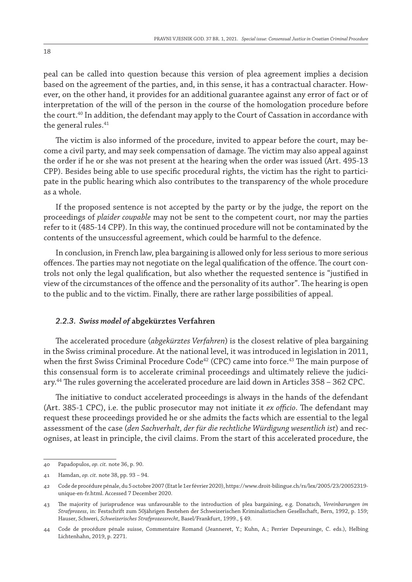peal can be called into question because this version of plea agreement implies a decision based on the agreement of the parties, and, in this sense, it has a contractual character. However, on the other hand, it provides for an additional guarantee against any error of fact or of interpretation of the will of the person in the course of the homologation procedure before the court.<sup>40</sup> In addition, the defendant may apply to the Court of Cassation in accordance with the general rules.<sup>41</sup>

The victim is also informed of the procedure, invited to appear before the court, may become a civil party, and may seek compensation of damage. The victim may also appeal against the order if he or she was not present at the hearing when the order was issued (Art. 495-13 CPP). Besides being able to use specific procedural rights, the victim has the right to participate in the public hearing which also contributes to the transparency of the whole procedure as a whole.

If the proposed sentence is not accepted by the party or by the judge, the report on the proceedings of *plaider coupable* may not be sent to the competent court, nor may the parties refer to it (485-14 CPP). In this way, the continued procedure will not be contaminated by the contents of the unsuccessful agreement, which could be harmful to the defence.

In conclusion, in French law, plea bargaining is allowed only for less serious to more serious offences. The parties may not negotiate on the legal qualification of the offence. The court controls not only the legal qualification, but also whether the requested sentence is "justified in view of the circumstances of the offence and the personality of its author". The hearing is open to the public and to the victim. Finally, there are rather large possibilities of appeal.

#### *2.2.3. Swiss model of* **abgekürztes Verfahren**

The accelerated procedure (*abgekürztes Verfahren*) is the closest relative of plea bargaining in the Swiss criminal procedure. At the national level, it was introduced in legislation in 2011, when the first Swiss Criminal Procedure Code<sup>42</sup> (CPC) came into force.<sup>43</sup> The main purpose of this consensual form is to accelerate criminal proceedings and ultimately relieve the judiciary.44 The rules governing the accelerated procedure are laid down in Articles 358 – 362 CPC.

The initiative to conduct accelerated proceedings is always in the hands of the defendant (Art. 385-1 CPC), i.e. the public prosecutor may not initiate it *ex officio*. The defendant may request these proceedings provided he or she admits the facts which are essential to the legal assessment of the case (*den Sachverhalt, der für die rechtliche Würdigung wesentlich ist*) and recognises, at least in principle, the civil claims. From the start of this accelerated procedure, the

<sup>40</sup> Papadopulos, *op. cit.* note 36, p. 90.

<sup>41</sup> Hamdan, *op. cit*. note 38, pp. 93 – 94.

<sup>42</sup> Code de procédure pénale, du 5 octobre 2007 (Etat le 1er février 2020), https://www.droit-bilingue.ch/rs/lex/2005/23/20052319 unique-en-fr.html. Accessed 7 December 2020.

<sup>43</sup> The majority of jurisprudence was unfavourable to the introduction of plea bargaining, e.g. Donatsch, *Vereinbarungen im Strafprozess*, in: Festschrift zum 50jährigen Bestehen der Schweizerischen Kriminalistischen Gesellschaft, Bern, 1992, p. 159; Hauser, Schweri, *Schweizerisches Strafprozessrecht*, Basel/Frankfurt, 1999., § 49.

<sup>44</sup> Code de procédure pénale suisse, Commentaire Romand (Jeanneret, Y.; Kuhn, A.; Perrier Depeursinge, C. eds.), Helbing Lichtenhahn, 2019, p. 2271.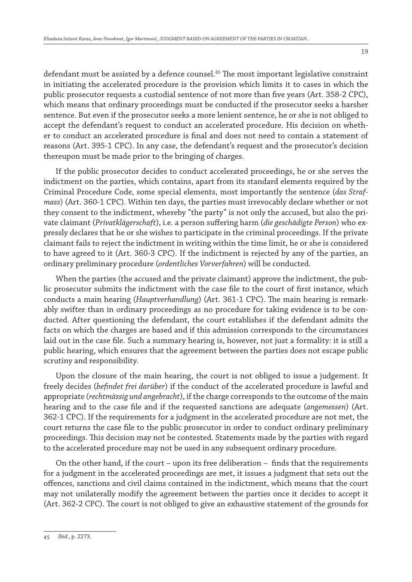defendant must be assisted by a defence counsel.<sup>45</sup> The most important legislative constraint in initiating the accelerated procedure is the provision which limits it to cases in which the public prosecutor requests a custodial sentence of not more than five years (Art. 358-2 CPC), which means that ordinary proceedings must be conducted if the prosecutor seeks a harsher sentence. But even if the prosecutor seeks a more lenient sentence, he or she is not obliged to accept the defendant's request to conduct an accelerated procedure. His decision on whether to conduct an accelerated procedure is final and does not need to contain a statement of reasons (Art. 395-1 CPC). In any case, the defendant's request and the prosecutor's decision thereupon must be made prior to the bringing of charges.

If the public prosecutor decides to conduct accelerated proceedings, he or she serves the indictment on the parties, which contains, apart from its standard elements required by the Criminal Procedure Code, some special elements, most importantly the sentence (*das Strafmass*) (Art. 360-1 CPC). Within ten days, the parties must irrevocably declare whether or not they consent to the indictment, whereby "the party" is not only the accused, but also the private claimant (*Privatklägerschaft*), i.e. a person suffering harm (*die geschädigte Person*) who expressly declares that he or she wishes to participate in the criminal proceedings. If the private claimant fails to reject the indictment in writing within the time limit, he or she is considered to have agreed to it (Art. 360-3 CPC). If the indictment is rejected by any of the parties, an ordinary preliminary procedure (*ordentliches Vorverfahren*) will be conducted.

When the parties (the accused and the private claimant) approve the indictment, the public prosecutor submits the indictment with the case file to the court of first instance, which conducts a main hearing (*Hauptverhandlung*) (Art. 361-1 CPC). The main hearing is remarkably swifter than in ordinary proceedings as no procedure for taking evidence is to be conducted. After questioning the defendant, the court establishes if the defendant admits the facts on which the charges are based and if this admission corresponds to the circumstances laid out in the case file. Such a summary hearing is, however, not just a formality: it is still a public hearing, which ensures that the agreement between the parties does not escape public scrutiny and responsibility.

Upon the closure of the main hearing, the court is not obliged to issue a judgement. It freely decides (*befindet frei darüber*) if the conduct of the accelerated procedure is lawful and appropriate (*rechtmässig und angebracht*), if the charge corresponds to the outcome of the main hearing and to the case file and if the requested sanctions are adequate (*angemessen*) (Art. 362-1 CPC). If the requirements for a judgment in the accelerated procedure are not met, the court returns the case file to the public prosecutor in order to conduct ordinary preliminary proceedings. This decision may not be contested. Statements made by the parties with regard to the accelerated procedure may not be used in any subsequent ordinary procedure.

On the other hand, if the court – upon its free deliberation – finds that the requirements for a judgment in the accelerated proceedings are met, it issues a judgment that sets out the offences, sanctions and civil claims contained in the indictment, which means that the court may not unilaterally modify the agreement between the parties once it decides to accept it (Art. 362-2 CPC). The court is not obliged to give an exhaustive statement of the grounds for

<sup>45</sup> *Ibid.*, p. 2273.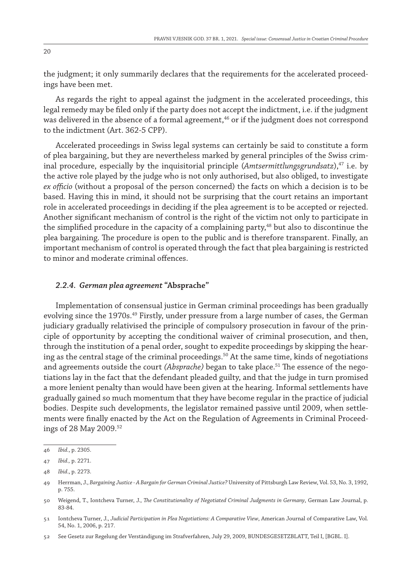the judgment; it only summarily declares that the requirements for the accelerated proceedings have been met.

As regards the right to appeal against the judgment in the accelerated proceedings, this legal remedy may be filed only if the party does not accept the indictment, i.e. if the judgment was delivered in the absence of a formal agreement,<sup>46</sup> or if the judgment does not correspond to the indictment (Art. 362-5 CPP).

Accelerated proceedings in Swiss legal systems can certainly be said to constitute a form of plea bargaining, but they are nevertheless marked by general principles of the Swiss criminal procedure, especially by the inquisitorial principle (*Amtsermittlungsgrundsatz*),47 i.e. by the active role played by the judge who is not only authorised, but also obliged, to investigate *ex officio* (without a proposal of the person concerned) the facts on which a decision is to be based. Having this in mind, it should not be surprising that the court retains an important role in accelerated proceedings in deciding if the plea agreement is to be accepted or rejected. Another significant mechanism of control is the right of the victim not only to participate in the simplified procedure in the capacity of a complaining party, $48$  but also to discontinue the plea bargaining. The procedure is open to the public and is therefore transparent. Finally, an important mechanism of control is operated through the fact that plea bargaining is restricted to minor and moderate criminal offences.

#### *2.2.4. German plea agreement* **"Absprache"**

Implementation of consensual justice in German criminal proceedings has been gradually evolving since the 1970s.<sup>49</sup> Firstly, under pressure from a large number of cases, the German judiciary gradually relativised the principle of compulsory prosecution in favour of the principle of opportunity by accepting the conditional waiver of criminal prosecution, and then, through the institution of a penal order, sought to expedite proceedings by skipping the hearing as the central stage of the criminal proceedings.<sup>50</sup> At the same time, kinds of negotiations and agreements outside the court *(Absprache)* began to take place.51 The essence of the negotiations lay in the fact that the defendant pleaded guilty, and that the judge in turn promised a more lenient penalty than would have been given at the hearing. Informal settlements have gradually gained so much momentum that they have become regular in the practice of judicial bodies. Despite such developments, the legislator remained passive until 2009, when settlements were finally enacted by the Act on the Regulation of Agreements in Criminal Proceedings of 28 May 2009.52

<sup>46</sup> *Ibid.*, p. 2305.

<sup>47</sup> *Ibid.,* p. 2271.

<sup>48</sup> *Ibid*., p. 2273.

<sup>49</sup> Herrman, J., *Bargaining Justice - A Bargain for German Criminal Justice?* University of Pittsburgh Law Review, Vol. 53, No. 3, 1992, p. 755.

<sup>50</sup> Weigend, T., Iontcheva Turner, J., *The Constitutionality of Negotiated Criminal Judgments in Germany*, German Law Journal, p. 83-84.

<sup>51</sup> Iontcheva Turner, J., *Judicial Participation in Plea Negotiations: A Comparative View*, American Journal of Comparative Law, Vol. 54, No. 1, 2006, p. 217.

<sup>52</sup> See Gesetz zur Regelung der Verständigung im Strafverfahren, July 29, 2009, BUNDESGESETZBLATT, Teil I, [BGBL. I].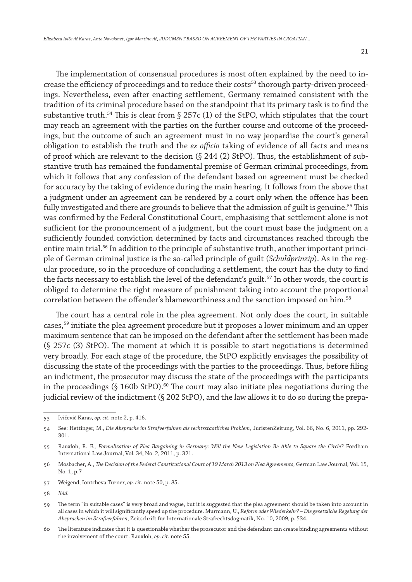The implementation of consensual procedures is most often explained by the need to increase the efficiency of proceedings and to reduce their costs<sup>53</sup> thorough party-driven proceedings. Nevertheless, even after enacting settlement, Germany remained consistent with the tradition of its criminal procedure based on the standpoint that its primary task is to find the substantive truth.<sup>54</sup> This is clear from  $\S 257c (1)$  of the StPO, which stipulates that the court may reach an agreement with the parties on the further course and outcome of the proceedings, but the outcome of such an agreement must in no way jeopardise the court's general obligation to establish the truth and the *ex officio* taking of evidence of all facts and means of proof which are relevant to the decision (§ 244 (2) StPO). Thus, the establishment of substantive truth has remained the fundamental premise of German criminal proceedings, from which it follows that any confession of the defendant based on agreement must be checked for accuracy by the taking of evidence during the main hearing. It follows from the above that a judgment under an agreement can be rendered by a court only when the offence has been fully investigated and there are grounds to believe that the admission of guilt is genuine.<sup>55</sup> This was confirmed by the Federal Constitutional Court, emphasising that settlement alone is not sufficient for the pronouncement of a judgment, but the court must base the judgment on a sufficiently founded conviction determined by facts and circumstances reached through the entire main trial.<sup>56</sup> In addition to the principle of substantive truth, another important principle of German criminal justice is the so-called principle of guilt (*Schuldprinzip*). As in the regular procedure, so in the procedure of concluding a settlement, the court has the duty to find the facts necessary to establish the level of the defendant's guilt.<sup>57</sup> In other words, the court is obliged to determine the right measure of punishment taking into account the proportional correlation between the offender's blameworthiness and the sanction imposed on him.58

The court has a central role in the plea agreement. Not only does the court, in suitable cases,59 initiate the plea agreement procedure but it proposes a lower minimum and an upper maximum sentence that can be imposed on the defendant after the settlement has been made (§ 257c (3) StPO). The moment at which it is possible to start negotiations is determined very broadly. For each stage of the procedure, the StPO explicitly envisages the possibility of discussing the state of the proceedings with the parties to the proceedings. Thus, before filing an indictment, the prosecutor may discuss the state of the proceedings with the participants in the proceedings  $(S 160b StPO).<sup>60</sup>$  The court may also initiate plea negotiations during the judicial review of the indictment (§ 202 StPO), and the law allows it to do so during the prepa-

<sup>53</sup> Ivičević Karas, *op. cit.* note 2, p. 416.

<sup>54</sup> See: Hettinger, M., *Die Absprache im Strafverfahren als rechtsstaatliches Problem*, JuristenZeitung, Vol. 66, No. 6, 2011, pp. 292- 301.

<sup>55</sup> Rauxloh, R. E*., Formalization of Plea Bargaining in Germany: Will the New Legislation Be Able to Square the Circle?* Fordham International Law Journal, Vol. 34, No. 2, 2011, p. 321.

<sup>56</sup> Mosbacher, A., *The Decision of the Federal Constitutional Court of 19 March 2013 on Plea Agreements*, German Law Journal, Vol. 15, No. 1, p.7

<sup>57</sup> Weigend, Iontcheva Turner, *op. cit.* note 50, p. 85.

<sup>58</sup> *Ibid.*

<sup>59</sup> The term "in suitable cases" is very broad and vague, but it is suggested that the plea agreement should be taken into account in all cases in which it will significantly speed up the procedure. Murmann, U., *Reform oder Wiederkehr? – Die gesetzliche Regelung der Absprachen im Strafverfahren*, Zeitschrift für Internationale Strafrechtsdogmatik, No. 10, 2009, p. 534.

<sup>60</sup> The literature indicates that it is questionable whether the prosecutor and the defendant can create binding agreements without the involvement of the court. Rauxloh, *op. cit.* note 55.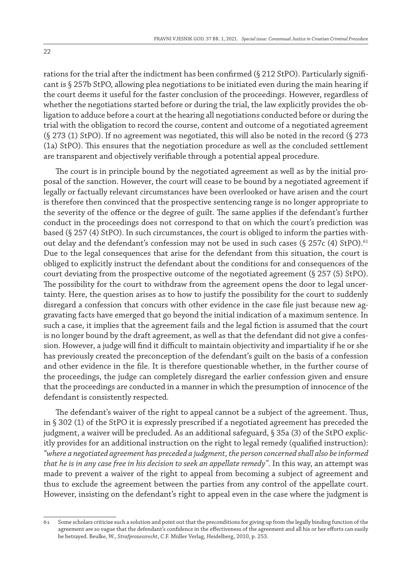rations for the trial after the indictment has been confirmed (§ 212 StPO). Particularly significant is § 257b StPO, allowing plea negotiations to be initiated even during the main hearing if the court deems it useful for the faster conclusion of the proceedings. However, regardless of whether the negotiations started before or during the trial, the law explicitly provides the obligation to adduce before a court at the hearing all negotiations conducted before or during the trial with the obligation to record the course, content and outcome of a negotiated agreement (§ 273 (1) StPO). If no agreement was negotiated, this will also be noted in the record (§ 273 (1a) StPO). This ensures that the negotiation procedure as well as the concluded settlement are transparent and objectively verifiable through a potential appeal procedure.

The court is in principle bound by the negotiated agreement as well as by the initial proposal of the sanction. However, the court will cease to be bound by a negotiated agreement if legally or factually relevant circumstances have been overlooked or have arisen and the court is therefore then convinced that the prospective sentencing range is no longer appropriate to the severity of the offence or the degree of guilt. The same applies if the defendant's further conduct in the proceedings does not correspond to that on which the court's prediction was based (§ 257 (4) StPO). In such circumstances, the court is obliged to inform the parties without delay and the defendant's confession may not be used in such cases (§ 257 $c$  (4) StPO).<sup>61</sup> Due to the legal consequences that arise for the defendant from this situation, the court is obliged to explicitly instruct the defendant about the conditions for and consequences of the court deviating from the prospective outcome of the negotiated agreement (§ 257 (5) StPO). The possibility for the court to withdraw from the agreement opens the door to legal uncertainty. Here, the question arises as to how to justify the possibility for the court to suddenly disregard a confession that concurs with other evidence in the case file just because new aggravating facts have emerged that go beyond the initial indication of a maximum sentence. In such a case, it implies that the agreement fails and the legal fiction is assumed that the court is no longer bound by the draft agreement, as well as that the defendant did not give a confession. However, a judge will find it difficult to maintain objectivity and impartiality if he or she has previously created the preconception of the defendant's guilt on the basis of a confession and other evidence in the file. It is therefore questionable whether, in the further course of the proceedings, the judge can completely disregard the earlier confession given and ensure that the proceedings are conducted in a manner in which the presumption of innocence of the defendant is consistently respected.

The defendant's waiver of the right to appeal cannot be a subject of the agreement. Thus, in § 302 (1) of the StPO it is expressly prescribed if a negotiated agreement has preceded the judgment, a waiver will be precluded. As an additional safeguard, § 35a (3) of the StPO explicitly provides for an additional instruction on the right to legal remedy (qualified instruction): *"where a negotiated agreement has preceded a judgment, the person concerned shall also be informed that he is in any case free in his decision to seek an appellate remedy"*. In this way, an attempt was made to prevent a waiver of the right to appeal from becoming a subject of agreement and thus to exclude the agreement between the parties from any control of the appellate court. However, insisting on the defendant's right to appeal even in the case where the judgment is

<sup>61</sup> Some scholars criticise such a solution and point out that the preconditions for giving up from the legally binding function of the agreement are so vague that the defendant's confidence in the effectiveness of the agreement and all his or her efforts can easily be betrayed. Beulke, W., *Strafprozessrecht*, C.F. Müller Verlag, Heidelberg, 2010, p. 253.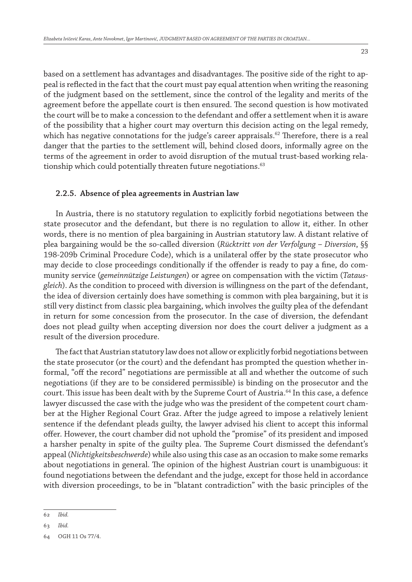based on a settlement has advantages and disadvantages. The positive side of the right to appeal is reflected in the fact that the court must pay equal attention when writing the reasoning of the judgment based on the settlement, since the control of the legality and merits of the agreement before the appellate court is then ensured. The second question is how motivated the court will be to make a concession to the defendant and offer a settlement when it is aware of the possibility that a higher court may overturn this decision acting on the legal remedy, which has negative connotations for the judge's career appraisals.<sup>62</sup> Therefore, there is a real danger that the parties to the settlement will, behind closed doors, informally agree on the terms of the agreement in order to avoid disruption of the mutual trust-based working relationship which could potentially threaten future negotiations.<sup>63</sup>

#### **2.2.5. Absence of plea agreements in Austrian law**

In Austria, there is no statutory regulation to explicitly forbid negotiations between the state prosecutor and the defendant, but there is no regulation to allow it, either. In other words, there is no mention of plea bargaining in Austrian statutory law. A distant relative of plea bargaining would be the so-called diversion (*Rücktritt von der Verfolgung – Diversion*, §§ 198-209b Criminal Procedure Code), which is a unilateral offer by the state prosecutor who may decide to close proceedings conditionally if the offender is ready to pay a fine, do community service (*gemeinnützige Leistungen*) or agree on compensation with the victim (*Tatausgleich*). As the condition to proceed with diversion is willingness on the part of the defendant, the idea of diversion certainly does have something is common with plea bargaining, but it is still very distinct from classic plea bargaining, which involves the guilty plea of the defendant in return for some concession from the prosecutor. In the case of diversion, the defendant does not plead guilty when accepting diversion nor does the court deliver a judgment as a result of the diversion procedure.

The fact that Austrian statutory law does not allow or explicitly forbid negotiations between the state prosecutor (or the court) and the defendant has prompted the question whether informal, "off the record" negotiations are permissible at all and whether the outcome of such negotiations (if they are to be considered permissible) is binding on the prosecutor and the court. This issue has been dealt with by the Supreme Court of Austria.<sup>64</sup> In this case, a defence lawyer discussed the case with the judge who was the president of the competent court chamber at the Higher Regional Court Graz. After the judge agreed to impose a relatively lenient sentence if the defendant pleads guilty, the lawyer advised his client to accept this informal offer. However, the court chamber did not uphold the "promise" of its president and imposed a harsher penalty in spite of the guilty plea. The Supreme Court dismissed the defendant's appeal (*Nichtigkeitsbeschwerde*) while also using this case as an occasion to make some remarks about negotiations in general. The opinion of the highest Austrian court is unambiguous: it found negotiations between the defendant and the judge, except for those held in accordance with diversion proceedings, to be in "blatant contradiction" with the basic principles of the

<sup>62</sup> *Ibid.*

<sup>63</sup> *Ibid.*

<sup>64</sup> OGH 11 Os 77/4.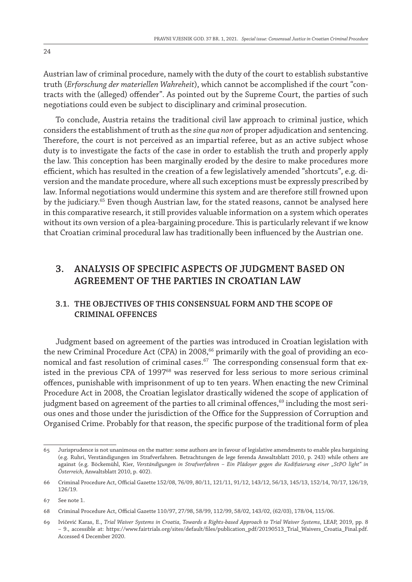Austrian law of criminal procedure, namely with the duty of the court to establish substantive truth (*Erforschung der materiellen Wahreheit*), which cannot be accomplished if the court "contracts with the (alleged) offender". As pointed out by the Supreme Court, the parties of such negotiations could even be subject to disciplinary and criminal prosecution.

To conclude, Austria retains the traditional civil law approach to criminal justice, which considers the establishment of truth as the *sine qua non* of proper adjudication and sentencing. Therefore, the court is not perceived as an impartial referee, but as an active subject whose duty is to investigate the facts of the case in order to establish the truth and properly apply the law. This conception has been marginally eroded by the desire to make procedures more efficient, which has resulted in the creation of a few legislatively amended "shortcuts", e.g. diversion and the mandate procedure, where all such exceptions must be expressly prescribed by law. Informal negotiations would undermine this system and are therefore still frowned upon by the judiciary.<sup>65</sup> Even though Austrian law, for the stated reasons, cannot be analysed here in this comparative research, it still provides valuable information on a system which operates without its own version of a plea-bargaining procedure. This is particularly relevant if we know that Croatian criminal procedural law has traditionally been influenced by the Austrian one.

# **3. ANALYSIS OF SPECIFIC ASPECTS OF JUDGMENT BASED ON AGREEMENT OF THE PARTIES IN CROATIAN LAW**

# **3.1. The objectives of this consensual form and the scope of criminal offences**

Judgment based on agreement of the parties was introduced in Croatian legislation with the new Criminal Procedure Act (CPA) in 2008,<sup>66</sup> primarily with the goal of providing an economical and fast resolution of criminal cases. $^{67}$  The corresponding consensual form that existed in the previous CPA of 1997<sup>68</sup> was reserved for less serious to more serious criminal offences, punishable with imprisonment of up to ten years. When enacting the new Criminal Procedure Act in 2008, the Croatian legislator drastically widened the scope of application of judgment based on agreement of the parties to all criminal offences, $69$  including the most serious ones and those under the jurisdiction of the Office for the Suppression of Corruption and Organised Crime. Probably for that reason, the specific purpose of the traditional form of plea

<sup>65</sup> Jurisprudence is not unanimous on the matter: some authors are in favour of legislative amendments to enable plea bargaining (e.g. Ruhri, Verständigungen im Strafverfahren. Betrachtungen de lege ferenda Anwaltsblatt 2010, p. 243) while others are against (e.g. Böckemühl, Kier, *Verständigungen in Strafverfahren – Ein Plädoyer gegen die Kodifizierung einer "StPO light" in Österreich*, Anwaltsblatt 2010, p. 402).

<sup>66</sup> Criminal Procedure Act, Official Gazette 152/08, 76/09, 80/11, 121/11, 91/12, 143/12, 56/13, 145/13, 152/14, 70/17, 126/19, 126/19.

<sup>67</sup> See note 1.

<sup>68</sup> Criminal Procedure Act, Official Gazette 110/97, 27/98, 58/99, 112/99, 58/02, 143/02, (62/03), 178/04, 115/06.

<sup>69</sup> Ivičević Karas, E., *Trial Waiver Systems in Croatia, Towards a Rights-based Approach to Trial Waiver Systems*, LEAP, 2019, pp. 8 – 9., accessible at: https://www.fairtrials.org/sites/default/files/publication\_pdf/20190513\_Trial\_Waivers\_Croatia\_Final.pdf. Accessed 4 December 2020.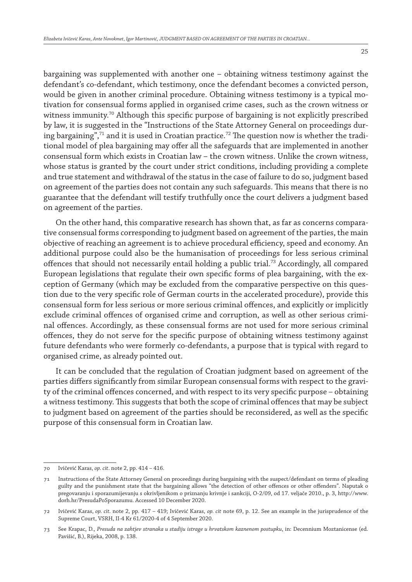bargaining was supplemented with another one – obtaining witness testimony against the defendant's co-defendant, which testimony, once the defendant becomes a convicted person, would be given in another criminal procedure. Obtaining witness testimony is a typical motivation for consensual forms applied in organised crime cases, such as the crown witness or witness immunity.<sup>70</sup> Although this specific purpose of bargaining is not explicitly prescribed by law, it is suggested in the "Instructions of the State Attorney General on proceedings during bargaining",<sup>71</sup> and it is used in Croatian practice.<sup>72</sup> The question now is whether the traditional model of plea bargaining may offer all the safeguards that are implemented in another consensual form which exists in Croatian law – the crown witness. Unlike the crown witness, whose status is granted by the court under strict conditions, including providing a complete and true statement and withdrawal of the status in the case of failure to do so, judgment based on agreement of the parties does not contain any such safeguards. This means that there is no guarantee that the defendant will testify truthfully once the court delivers a judgment based on agreement of the parties.

On the other hand, this comparative research has shown that, as far as concerns comparative consensual forms corresponding to judgment based on agreement of the parties, the main objective of reaching an agreement is to achieve procedural efficiency, speed and economy. An additional purpose could also be the humanisation of proceedings for less serious criminal offences that should not necessarily entail holding a public trial.73 Accordingly, all compared European legislations that regulate their own specific forms of plea bargaining, with the exception of Germany (which may be excluded from the comparative perspective on this question due to the very specific role of German courts in the accelerated procedure), provide this consensual form for less serious or more serious criminal offences, and explicitly or implicitly exclude criminal offences of organised crime and corruption, as well as other serious criminal offences. Accordingly, as these consensual forms are not used for more serious criminal offences, they do not serve for the specific purpose of obtaining witness testimony against future defendants who were formerly co-defendants, a purpose that is typical with regard to organised crime, as already pointed out.

It can be concluded that the regulation of Croatian judgment based on agreement of the parties differs significantly from similar European consensual forms with respect to the gravity of the criminal offences concerned, and with respect to its very specific purpose – obtaining a witness testimony. This suggests that both the scope of criminal offences that may be subject to judgment based on agreement of the parties should be reconsidered, as well as the specific purpose of this consensual form in Croatian law.

<sup>70</sup> Ivičević Karas, *op. cit*. note 2, pp. 414 – 416.

<sup>71</sup> Instructions of the State Attorney General on proceedings during bargaining with the suspect/defendant on terms of pleading guilty and the punishment state that the bargaining allows "the detection of other offences or other offenders". Naputak o pregovaranju i sporazumijevanju s okrivljenikom o priznanju krivnje i sankciji, O-2/09, od 17. veljače 2010., p. 3, http://www. dorh.hr/PresudaPoSporazumu. Accessed 10 December 2020.

<sup>72</sup> Ivičević Karas, *op. cit.* note 2, pp. 417 – 419; Ivičević Karas, *op. cit* note 69, p. 12. See an example in the jurisprudence of the Supreme Court, VSRH, II-4 Kr 61/2020-4 of 4 September 2020.

<sup>73</sup> See Krapac, D., *Presuda na zahtjev stranaka u stadiju istrage u hrvatskom kaznenom postupku*, in: Decennium Moztanicense (ed. Pavišić, B.), Rijeka, 2008, p. 138.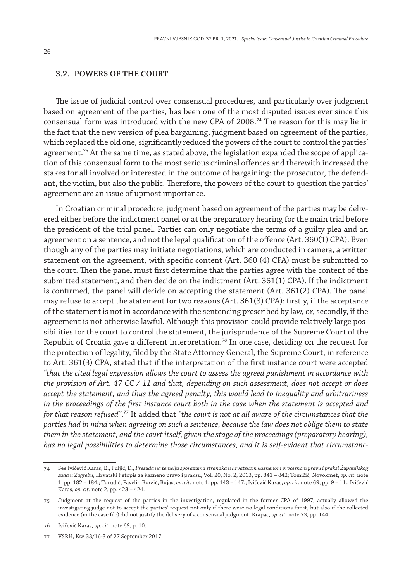#### **3.2. Powers of the court**

The issue of judicial control over consensual procedures, and particularly over judgment based on agreement of the parties, has been one of the most disputed issues ever since this consensual form was introduced with the new CPA of  $2008.^{74}$  The reason for this may lie in the fact that the new version of plea bargaining, judgment based on agreement of the parties, which replaced the old one, significantly reduced the powers of the court to control the parties' agreement.<sup>75</sup> At the same time, as stated above, the legislation expanded the scope of application of this consensual form to the most serious criminal offences and therewith increased the stakes for all involved or interested in the outcome of bargaining: the prosecutor, the defendant, the victim, but also the public. Therefore, the powers of the court to question the parties' agreement are an issue of upmost importance.

In Croatian criminal procedure, judgment based on agreement of the parties may be delivered either before the indictment panel or at the preparatory hearing for the main trial before the president of the trial panel. Parties can only negotiate the terms of a guilty plea and an agreement on a sentence, and not the legal qualification of the offence (Art. 360(1) CPA). Even though any of the parties may initiate negotiations, which are conducted in camera, a written statement on the agreement, with specific content (Art. 360 (4) CPA) must be submitted to the court. Then the panel must first determine that the parties agree with the content of the submitted statement, and then decide on the indictment (Art. 361(1) CPA). If the indictment is confirmed, the panel will decide on accepting the statement (Art. 361(2) CPA). The panel may refuse to accept the statement for two reasons (Art. 361(3) CPA): firstly, if the acceptance of the statement is not in accordance with the sentencing prescribed by law, or, secondly, if the agreement is not otherwise lawful. Although this provision could provide relatively large possibilities for the court to control the statement, the jurisprudence of the Supreme Court of the Republic of Croatia gave a different interpretation.<sup>76</sup> In one case, deciding on the request for the protection of legality, filed by the State Attorney General, the Supreme Court, in reference to Art. 361(3) CPA, stated that if the interpretation of the first instance court were accepted *"that the cited legal expression allows the court to assess the agreed punishment in accordance with the provision of Art. 47 CC / 11 and that, depending on such assessment, does not accept or does accept the statement, and thus the agreed penalty, this would lead to inequality and arbitrariness in the proceedings of the first instance court both in the case when the statement is accepted and for that reason refused"*. *<sup>77</sup>* It added that *"the court is not at all aware of the circumstances that the parties had in mind when agreeing on such a sentence, because the law does not oblige them to state them in the statement, and the court itself, given the stage of the proceedings (preparatory hearing), has no legal possibilities to determine those circumstances, and it is self-evident that circumstanc-*

<sup>74</sup> See Ivičević Karas, E., Puljić, D., *Presuda na temelju sporazuma stranaka u hrvatskom kaznenom procesnom pravu i praksi Županijskog suda u Zagrebu*, Hrvatski ljetopis za kazneno pravo i praksu, Vol. 20, No. 2, 2013, pp. 841 – 842; Tomičić, Novokmet, *op. cit.* note 1, pp. 182 – 184.; Turudić, Pavelin Borzić, Bujas, *op. cit.* note 1, pp. 143 – 147.; Ivičević Karas, *op. cit.* note 69, pp. 9 – 11.; Ivičević Karas, *op. cit.* note 2, pp. 423 – 424.

<sup>75</sup> Judgment at the request of the parties in the investigation, regulated in the former CPA of 1997, actually allowed the investigating judge not to accept the parties' request not only if there were no legal conditions for it, but also if the collected evidence (in the case file) did not justify the delivery of a consensual judgment. Krapac, *op. cit.* note 73, pp. 144.

<sup>76</sup> Ivičević Karas, *op. cit.* note 69, p. 10.

<sup>77</sup> VSRH, Kzz 38/16-3 of 27 September 2017.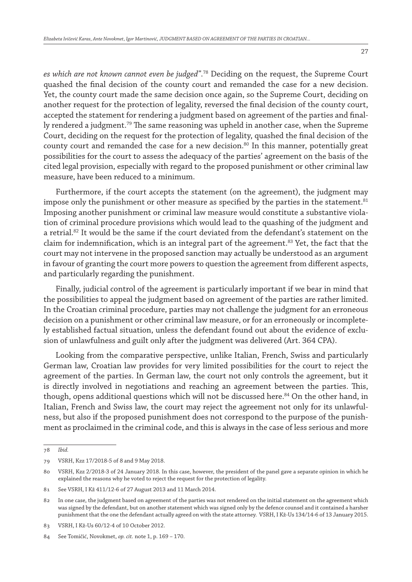*es which are not known cannot even be judged"*. 78 Deciding on the request, the Supreme Court quashed the final decision of the county court and remanded the case for a new decision. Yet, the county court made the same decision once again, so the Supreme Court, deciding on another request for the protection of legality, reversed the final decision of the county court, accepted the statement for rendering a judgment based on agreement of the parties and finally rendered a judgment.79 The same reasoning was upheld in another case, when the Supreme Court, deciding on the request for the protection of legality, quashed the final decision of the county court and remanded the case for a new decision. $80$  In this manner, potentially great possibilities for the court to assess the adequacy of the parties' agreement on the basis of the cited legal provision, especially with regard to the proposed punishment or other criminal law measure, have been reduced to a minimum.

Furthermore, if the court accepts the statement (on the agreement), the judgment may impose only the punishment or other measure as specified by the parties in the statement. $81$ Imposing another punishment or criminal law measure would constitute a substantive violation of criminal procedure provisions which would lead to the quashing of the judgment and a retrial.<sup>82</sup> It would be the same if the court deviated from the defendant's statement on the claim for indemnification, which is an integral part of the agreement.<sup>83</sup> Yet, the fact that the court may not intervene in the proposed sanction may actually be understood as an argument in favour of granting the court more powers to question the agreement from different aspects, and particularly regarding the punishment.

Finally, judicial control of the agreement is particularly important if we bear in mind that the possibilities to appeal the judgment based on agreement of the parties are rather limited. In the Croatian criminal procedure, parties may not challenge the judgment for an erroneous decision on a punishment or other criminal law measure, or for an erroneously or incompletely established factual situation, unless the defendant found out about the evidence of exclusion of unlawfulness and guilt only after the judgment was delivered (Art. 364 CPA).

Looking from the comparative perspective, unlike Italian, French, Swiss and particularly German law, Croatian law provides for very limited possibilities for the court to reject the agreement of the parties. In German law, the court not only controls the agreement, but it is directly involved in negotiations and reaching an agreement between the parties. This, though, opens additional questions which will not be discussed here.<sup>84</sup> On the other hand, in Italian, French and Swiss law, the court may reject the agreement not only for its unlawfulness, but also if the proposed punishment does not correspond to the purpose of the punishment as proclaimed in the criminal code, and this is always in the case of less serious and more

<sup>78</sup> *Ibid.*

<sup>79</sup> VSRH, Kzz 17/2018-5 of 8 and 9 May 2018.

<sup>80</sup> VSRH, Kzz 2/2018-3 of 24 January 2018. In this case, however, the president of the panel gave a separate opinion in which he explained the reasons why he voted to reject the request for the protection of legality.

<sup>81</sup> See VSRH, I Kž 411/12-6 of 27 August 2013 and 11 March 2014.

<sup>82</sup> In one case, the judgment based on agreement of the parties was not rendered on the initial statement on the agreement which was signed by the defendant, but on another statement which was signed only by the defence counsel and it contained a harsher punishment that the one the defendant actually agreed on with the state attorney. VSRH, I Kž-Us 134/14-6 of 13 January 2015.

<sup>83</sup> VSRH, I Kž-Us 60/12-4 of 10 October 2012.

<sup>84</sup> See Tomičić, Novokmet, *op. cit.* note 1, p. 169 – 170.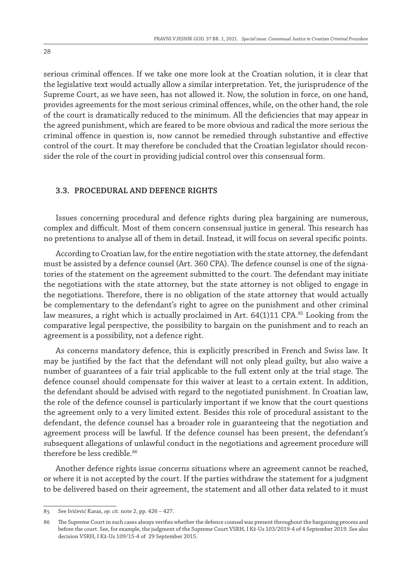serious criminal offences. If we take one more look at the Croatian solution, it is clear that the legislative text would actually allow a similar interpretation. Yet, the jurisprudence of the Supreme Court, as we have seen, has not allowed it. Now, the solution in force, on one hand, provides agreements for the most serious criminal offences, while, on the other hand, the role of the court is dramatically reduced to the minimum. All the deficiencies that may appear in the agreed punishment, which are feared to be more obvious and radical the more serious the criminal offence in question is, now cannot be remedied through substantive and effective control of the court. It may therefore be concluded that the Croatian legislator should reconsider the role of the court in providing judicial control over this consensual form.

#### **3.3. Procedural and defence rights**

Issues concerning procedural and defence rights during plea bargaining are numerous, complex and difficult. Most of them concern consensual justice in general. This research has no pretentions to analyse all of them in detail. Instead, it will focus on several specific points.

According to Croatian law, for the entire negotiation with the state attorney, the defendant must be assisted by a defence counsel (Art. 360 CPA). The defence counsel is one of the signatories of the statement on the agreement submitted to the court. The defendant may initiate the negotiations with the state attorney, but the state attorney is not obliged to engage in the negotiations. Therefore, there is no obligation of the state attorney that would actually be complementary to the defendant's right to agree on the punishment and other criminal law measures, a right which is actually proclaimed in Art.  $64(1)11$  CPA.<sup>85</sup> Looking from the comparative legal perspective, the possibility to bargain on the punishment and to reach an agreement is a possibility, not a defence right.

As concerns mandatory defence, this is explicitly prescribed in French and Swiss law. It may be justified by the fact that the defendant will not only plead guilty, but also waive a number of guarantees of a fair trial applicable to the full extent only at the trial stage. The defence counsel should compensate for this waiver at least to a certain extent. In addition, the defendant should be advised with regard to the negotiated punishment. In Croatian law, the role of the defence counsel is particularly important if we know that the court questions the agreement only to a very limited extent. Besides this role of procedural assistant to the defendant, the defence counsel has a broader role in guaranteeing that the negotiation and agreement process will be lawful. If the defence counsel has been present, the defendant's subsequent allegations of unlawful conduct in the negotiations and agreement procedure will therefore be less credible.<sup>86</sup>

Another defence rights issue concerns situations where an agreement cannot be reached, or where it is not accepted by the court. If the parties withdraw the statement for a judgment to be delivered based on their agreement, the statement and all other data related to it must

<sup>85</sup> See Ivičević Karas, *op. cit.* note 2, pp. 426 – 427.

<sup>86</sup> The Supreme Court in such cases always verifies whether the defence counsel was present throughout the bargaining process and before the court. See, for example, the judgment of the Supreme Court VSRH, I Kž-Us 103/2019-4 of 4 September 2019. See also decision VSRH, I Kž-Us 109/15-4 of 29 September 2015.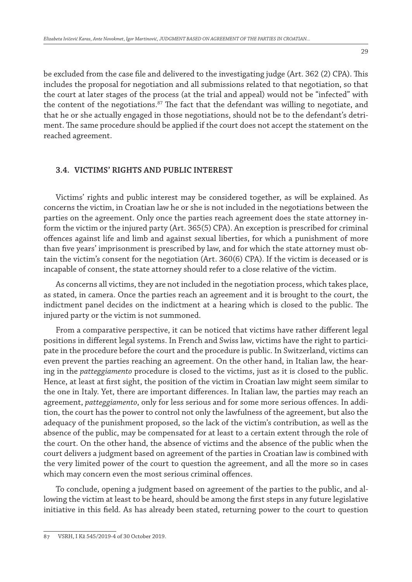be excluded from the case file and delivered to the investigating judge (Art. 362 (2) CPA). This includes the proposal for negotiation and all submissions related to that negotiation, so that the court at later stages of the process (at the trial and appeal) would not be "infected" with the content of the negotiations. $87$  The fact that the defendant was willing to negotiate, and that he or she actually engaged in those negotiations, should not be to the defendant's detriment. The same procedure should be applied if the court does not accept the statement on the reached agreement.

## **3.4. Victims' rights and public interest**

Victims' rights and public interest may be considered together, as will be explained. As concerns the victim, in Croatian law he or she is not included in the negotiations between the parties on the agreement. Only once the parties reach agreement does the state attorney inform the victim or the injured party (Art. 365(5) CPA). An exception is prescribed for criminal offences against life and limb and against sexual liberties, for which a punishment of more than five years' imprisonment is prescribed by law, and for which the state attorney must obtain the victim's consent for the negotiation (Art. 360(6) CPA). If the victim is deceased or is incapable of consent, the state attorney should refer to a close relative of the victim.

As concerns all victims, they are not included in the negotiation process, which takes place, as stated, in camera. Once the parties reach an agreement and it is brought to the court, the indictment panel decides on the indictment at a hearing which is closed to the public. The injured party or the victim is not summoned.

From a comparative perspective, it can be noticed that victims have rather different legal positions in different legal systems. In French and Swiss law, victims have the right to participate in the procedure before the court and the procedure is public. In Switzerland, victims can even prevent the parties reaching an agreement. On the other hand, in Italian law, the hearing in the *patteggiamento* procedure is closed to the victims, just as it is closed to the public. Hence, at least at first sight, the position of the victim in Croatian law might seem similar to the one in Italy. Yet, there are important differences. In Italian law, the parties may reach an agreement, *patteggiamento*, only for less serious and for some more serious offences. In addition, the court has the power to control not only the lawfulness of the agreement, but also the adequacy of the punishment proposed, so the lack of the victim's contribution, as well as the absence of the public, may be compensated for at least to a certain extent through the role of the court. On the other hand, the absence of victims and the absence of the public when the court delivers a judgment based on agreement of the parties in Croatian law is combined with the very limited power of the court to question the agreement, and all the more so in cases which may concern even the most serious criminal offences.

To conclude, opening a judgment based on agreement of the parties to the public, and allowing the victim at least to be heard, should be among the first steps in any future legislative initiative in this field. As has already been stated, returning power to the court to question

<sup>87</sup> VSRH, I Kž 545/2019-4 of 30 October 2019.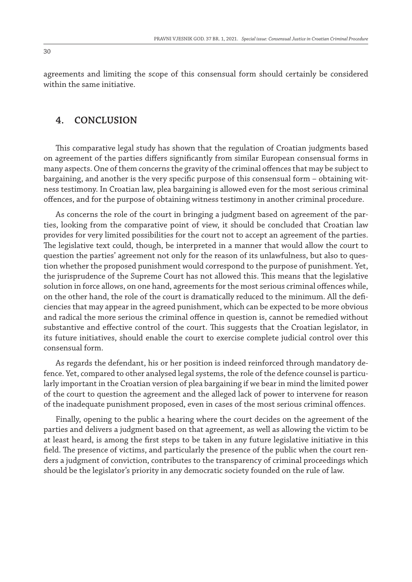agreements and limiting the scope of this consensual form should certainly be considered within the same initiative.

# **4. CONCLUSION**

This comparative legal study has shown that the regulation of Croatian judgments based on agreement of the parties differs significantly from similar European consensual forms in many aspects. One of them concerns the gravity of the criminal offences that may be subject to bargaining, and another is the very specific purpose of this consensual form – obtaining witness testimony. In Croatian law, plea bargaining is allowed even for the most serious criminal offences, and for the purpose of obtaining witness testimony in another criminal procedure.

As concerns the role of the court in bringing a judgment based on agreement of the parties, looking from the comparative point of view, it should be concluded that Croatian law provides for very limited possibilities for the court not to accept an agreement of the parties. The legislative text could, though, be interpreted in a manner that would allow the court to question the parties' agreement not only for the reason of its unlawfulness, but also to question whether the proposed punishment would correspond to the purpose of punishment. Yet, the jurisprudence of the Supreme Court has not allowed this. This means that the legislative solution in force allows, on one hand, agreements for the most serious criminal offences while, on the other hand, the role of the court is dramatically reduced to the minimum. All the deficiencies that may appear in the agreed punishment, which can be expected to be more obvious and radical the more serious the criminal offence in question is, cannot be remedied without substantive and effective control of the court. This suggests that the Croatian legislator, in its future initiatives, should enable the court to exercise complete judicial control over this consensual form.

As regards the defendant, his or her position is indeed reinforced through mandatory defence. Yet, compared to other analysed legal systems, the role of the defence counsel is particularly important in the Croatian version of plea bargaining if we bear in mind the limited power of the court to question the agreement and the alleged lack of power to intervene for reason of the inadequate punishment proposed, even in cases of the most serious criminal offences.

Finally, opening to the public a hearing where the court decides on the agreement of the parties and delivers a judgment based on that agreement, as well as allowing the victim to be at least heard, is among the first steps to be taken in any future legislative initiative in this field. The presence of victims, and particularly the presence of the public when the court renders a judgment of conviction, contributes to the transparency of criminal proceedings which should be the legislator's priority in any democratic society founded on the rule of law.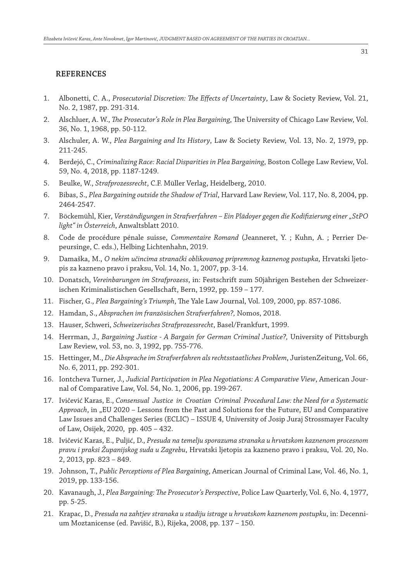#### **REFERENCES**

- 1. Albonetti, C. A., *Prosecutorial Discretion: The Effects of Uncertainty*, Law & Society Review, Vol. 21, No. 2, 1987, pp. 291-314.
- 2. Alschluer, A. W., *The Prosecutor's Role in Plea Bargaining*, The University of Chicago Law Review, Vol. 36, No. 1, 1968, pp. 50-112.
- 3. Alschuler, A. W., *Plea Bargaining and Its History*, Law & Society Review, Vol. 13, No. 2, 1979, pp. 211-245.
- 4. Berdejó, C., *Criminalizing Race: Racial Disparities in Plea Bargaining*, Boston College Law Review, Vol. 59, No. 4, 2018, pp. 1187-1249.
- 5. Beulke, W., *Strafprozessrecht*, C.F. Müller Verlag, Heidelberg, 2010.
- 6. Bibas, S., *Plea Bargaining outside the Shadow of Trial*, Harvard Law Review, Vol. 117, No. 8, 2004, pp. 2464-2547.
- 7. Böckemühl, Kier, *Verständigungen in Strafverfahren Ein Plädoyer gegen die Kodifizierung einer "StPO light" in Österreich*, Anwaltsblatt 2010.
- 8. Code de procédure pénale suisse, *Commentaire Romand* (Jeanneret, Y. ; Kuhn, A. ; Perrier Depeursinge, C. eds.), Helbing Lichtenhahn, 2019.
- 9. Damaška, M., *O nekim učincima stranački oblikovanog pripremnog kaznenog postupka*, Hrvatski ljetopis za kazneno pravo i praksu, Vol. 14, No. 1, 2007, pp. 3-14.
- 10. Donatsch, *Vereinbarungen im Strafprozess*, in: Festschrift zum 50jährigen Bestehen der Schweizerischen Kriminalistischen Gesellschaft, Bern, 1992, pp. 159 – 177.
- 11. Fischer, G., *Plea Bargaining's Triumph*, The Yale Law Journal, Vol. 109, 2000, pp. 857-1086.
- 12. Hamdan, S., *Absprachen im französischen Strafverfahren?,* Nomos, 2018.
- 13. Hauser, Schweri, *Schweizerisches Strafprozessrecht*, Basel/Frankfurt, 1999.
- 14. Herrman, J., *Bargaining Justice A Bargain for German Criminal Justice?,* University of Pittsburgh Law Review, vol. 53, no. 3, 1992, pp. 755-776.
- 15. Hettinger, M., *Die Absprache im Strafverfahren als rechtsstaatliches Problem*, JuristenZeitung, Vol. 66, No. 6, 2011, pp. 292-301.
- 16. Iontcheva Turner, J., *Judicial Participation in Plea Negotiations: A Comparative View*, American Journal of Comparative Law, Vol. 54, No. 1, 2006, pp. 199-267.
- 17. Ivičević Karas, E., *Consensual Justice in Croatian Criminal Procedural Law: the Need for a Systematic*  Approach, in "EU 2020 – Lessons from the Past and Solutions for the Future, EU and Comparative Law Issues and Challenges Series (ECLIC) – ISSUE 4, University of Josip Juraj Strossmayer Faculty of Law, Osijek, 2020, pp. 405 – 432.
- 18. Ivičević Karas, E., Puljić, D., *Presuda na temelju sporazuma stranaka u hrvatskom kaznenom procesnom pravu i praksi Županijskog suda u Zagrebu*, Hrvatski ljetopis za kazneno pravo i praksu, Vol. 20, No. 2, 2013, pp. 823 – 849.
- 19. Johnson, T., *Public Perceptions of Plea Bargaining*, American Journal of Criminal Law, Vol. 46, No. 1, 2019, pp. 133-156.
- 20. Kavanaugh, J., *Plea Bargaining: The Prosecutor's Perspective*, Police Law Quarterly, Vol. 6, No. 4, 1977, pp. 5-25.
- 21. Krapac, D., *Presuda na zahtjev stranaka u stadiju istrage u hrvatskom kaznenom postupku*, in: Decennium Moztanicense (ed. Pavišić, B.), Rijeka, 2008, pp. 137 – 150.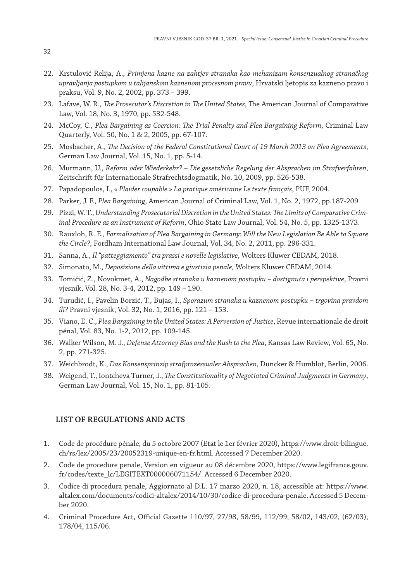- 22. Krstulović Relija, A., *Primjena kazne na zahtjev stranaka kao mehanizam konsenzualnog stranačkog upravljanja postupkom u talijanskom kaznenom procesnom pravu*, Hrvatski ljetopis za kazneno pravo i praksu, Vol. 9, No. 2, 2002, pp. 373 – 399.
- 23. Lafave, W. R., *The Prosecutor's Discretion in The United States*, The American Journal of Comparative Law, Vol. 18, No. 3, 1970, pp. 532-548.
- 24. McCoy, C., *Plea Bargaining as Coercion: The Trial Penalty and Plea Bargaining Reform*, Criminal Law Quarterly, Vol. 50, No. 1 & 2, 2005, pp. 67-107.
- 25. Mosbacher, A., *The Decision of the Federal Constitutional Court of 19 March 2013 on Plea Agreements*, German Law Journal, Vol. 15, No. 1, pp. 5-14.
- 26. Murmann, U., *Reform oder Wiederkehr? Die gesetzliche Regelung der Absprachen im Strafverfahren*, Zeitschrift für Internationale Strafrechtsdogmatik, No. 10, 2009, pp. 526-538.
- 27. Papadopoulos, I., *« Plaider coupable » La pratique américaine Le texte français*, PUF, 2004.
- 28. Parker, J. F., *Plea Bargaining*, American Journal of Criminal Law, Vol. 1, No. 2, 1972, pp.187-209
- 29. Pizzi, W. T., *Understanding Prosecutorial Discretion in the United States: The Limits of Comparative Criminal Procedure as an Instrument of Reform*, Ohio State Law Journal, Vol. 54, No. 5, pp. 1325-1373.
- 30. Rauxloh, R. E*., Formalization of Plea Bargaining in Germany: Will the New Legislation Be Able to Square the Circle?,* Fordham International Law Journal, Vol. 34, No. 2, 2011, pp. 296-331.
- 31. Sanna, A., *Il "patteggiamento" tra prassi e novelle legislative*, Wolters Kluwer CEDAM, 2018.
- 32. Simonato, M., *Deposizione della vittima e giustizia penale,* Wolters Kluwer CEDAM, 2014.
- 33. Tomičić, Z., Novokmet, A., *Nagodbe stranaka u kaznenom postupku dostignuća i perspektive*, Pravni vjesnik, Vol. 28, No. 3-4, 2012, pp. 149 – 190.
- 34. Turudić, I., Pavelin Borzić, T., Bujas, I., *Sporazum stranaka u kaznenom postupku trgovina pravdom ili?* Pravni vjesnik, Vol. 32, No. 1, 2016, pp. 121 – 153.
- 35. Viano, E. C., *Plea Bargaining in the United States: A Perversion of Justice*, Revue internationale de droit pénal, Vol. 83, No. 1-2, 2012, pp. 109-145.
- 36. Walker Wilson, M. J., *Defense Attorney Bias and the Rush to the Plea*, Kansas Law Review, Vol. 65, No. 2, pp. 271-325.
- 37. Weichbrodt, K., *Das Konsensprinzip strafprozessualer Absprachen*, Duncker & Humblot, Berlin, 2006.
- 38. Weigend, T., Iontcheva Turner, J., *The Constitutionality of Negotiated Criminal Judgments in Germany*, German Law Journal, Vol. 15, No. 1, pp. 81-105.

#### **LIST OF REGULATIONS AND ACTS**

- 1. Code de procédure pénale, du 5 octobre 2007 (Etat le 1er février 2020), https://www.droit-bilingue. ch/rs/lex/2005/23/20052319-unique-en-fr.html. Accessed 7 December 2020.
- 2. Code de procedure penale, Version en vigueur au 08 décembre 2020, https://www.legifrance.gouv. fr/codes/texte\_lc/LEGITEXT000006071154/. Accessed 6 December 2020.
- 3. Codice di procedura penale, Aggiornato al D.L. 17 marzo 2020, n. 18, accessible at: https://www. altalex.com/documents/codici-altalex/2014/10/30/codice-di-procedura-penale. Accessed 5 December 2020.
- 4. Criminal Procedure Act, Official Gazette 110/97, 27/98, 58/99, 112/99, 58/02, 143/02, (62/03), 178/04, 115/06.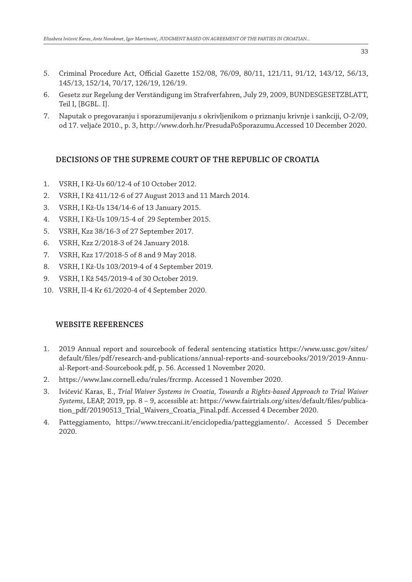- 5. Criminal Procedure Act, Official Gazette 152/08, 76/09, 80/11, 121/11, 91/12, 143/12, 56/13, 145/13, 152/14, 70/17, 126/19, 126/19.
- 6. Gesetz zur Regelung der Verständigung im Strafverfahren, July 29, 2009, BUNDESGESETZBLATT, Teil I, [BGBL. I].
- 7. Naputak o pregovaranju i sporazumijevanju s okrivljenikom o priznanju krivnje i sankciji, O-2/09, od 17. veljače 2010., p. 3, http://www.dorh.hr/PresudaPoSporazumu.Accessed 10 December 2020.

#### **DECISIONS OF THE SUPREME COURT OF THE REPUBLIC OF CROATIA**

- 1. VSRH, I Kž-Us 60/12-4 of 10 October 2012.
- 2. VSRH, I Kž 411/12-6 of 27 August 2013 and 11 March 2014.
- 3. VSRH, I Kž-Us 134/14-6 of 13 January 2015.
- 4. VSRH, I Kž-Us 109/15-4 of 29 September 2015.
- 5. VSRH, Kzz 38/16-3 of 27 September 2017.
- 6. VSRH, Kzz 2/2018-3 of 24 January 2018.
- 7. VSRH, Kzz 17/2018-5 of 8 and 9 May 2018.
- 8. VSRH, I Kž-Us 103/2019-4 of 4 September 2019.
- 9. VSRH, I Kž 545/2019-4 of 30 October 2019.
- 10. VSRH, II-4 Kr 61/2020-4 of 4 September 2020.

#### **WEBSITE REFERENCES**

- 1. 2019 Annual report and sourcebook of federal sentencing statistics https://www.ussc.gov/sites/ default/files/pdf/research-and-publications/annual-reports-and-sourcebooks/2019/2019-Annual-Report-and-Sourcebook.pdf, p. 56. Accessed 1 November 2020.
- 2. https://www.law.cornell.edu/rules/frcrmp. Accessed 1 November 2020.
- 3. Ivičević Karas, E., *Trial Waiver Systems in Croatia, Towards a Rights-based Approach to Trial Waiver Systems*, LEAP, 2019, pp. 8 – 9, accessible at: https://www.fairtrials.org/sites/default/files/publication\_pdf/20190513\_Trial\_Waivers\_Croatia\_Final.pdf. Accessed 4 December 2020.
- 4. Patteggiamento, https://www.treccani.it/enciclopedia/patteggiamento/. Accessed 5 December 2020.